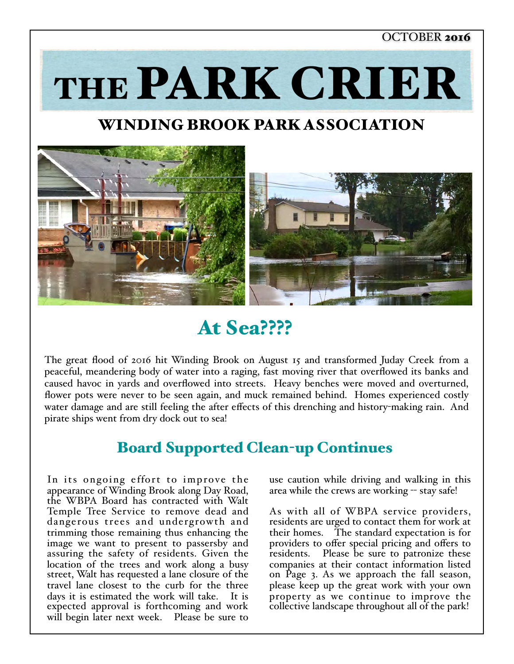#### OCTOBER 2016

THE PARK CRIER

## WINDING BROOK PARK ASSOCIATION



## At Sea????

The great flood of 2016 hit Winding Brook on August 15 and transformed Juday Creek from a peaceful, meandering body of water into a raging, fast moving river that overflowed its banks and caused havoc in yards and overflowed into streets. Heavy benches were moved and overturned, flower pots were never to be seen again, and muck remained behind. Homes experienced costly water damage and are still feeling the after effects of this drenching and history-making rain. And pirate ships went from dry dock out to sea!

### Board Supported Clean-up Continues

In its ongoing effort to improve the appearance of Winding Brook along Day Road, the WBPA Board has contracted with Walt Temple Tree Service to remove dead and dangerous trees and undergrowth and trimming those remaining thus enhancing the image we want to present to passersby and assuring the safety of residents. Given the location of the trees and work along a busy street, Walt has requested a lane closure of the travel lane closest to the curb for the three days it is estimated the work will take. It is expected approval is forthcoming and work will begin later next week. Please be sure to

use caution while driving and walking in this area while the crews are working -- stay safe!

As with all of WBPA service providers, residents are urged to contact them for work at their homes. The standard expectation is for providers to offer special pricing and offers to residents. Please be sure to patronize these companies at their contact information listed on Page 3. As we approach the fall season, please keep up the great work with your own property as we continue to improve the collective landscape throughout all of the park!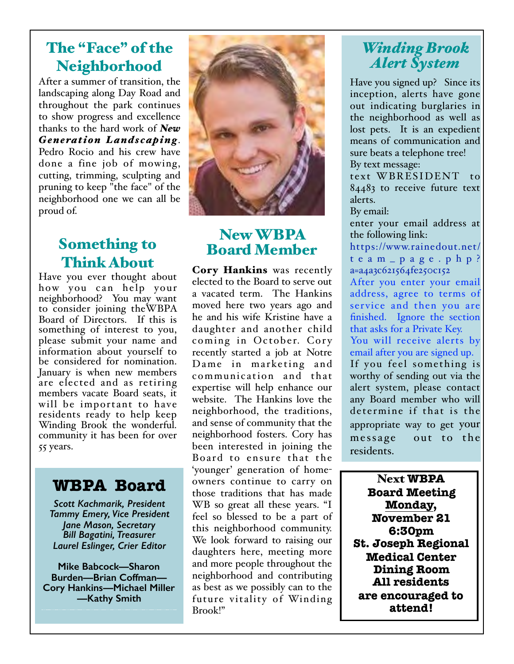## The "Face" of the Neighborhood

After a summer of transition, the landscaping along Day Road and throughout the park continues to show progress and excellence thanks to the hard work of *New Generation Landscaping*. Pedro Rocio and his crew have done a fine job of mowing, cutting, trimming, sculpting and pruning to keep "the face" of the neighborhood one we can all be proud of.

## Something to Think About

Have you ever thought about how you can help your neighborhood? You may want to consider joining theWBPA Board of Directors. If this is something of interest to you, please submit your name and information about yourself to be considered for nomination. January is when new members are elected and as retiring members vacate Board seats, it will be important to have residents ready to help keep Winding Brook the wonderful. community it has been for over 55 years.

## **WBPA Board**

*Scott Kachmarik, President Tammy Emery, Vice President Jane Mason, Secretary Bill Bagatini, Treasurer Laurel Eslinger, Crier Editor* 

**Mike Babcock—Sharon Burden—Brian Coffman— Cory Hankins—Michael Miller —Kathy Smith**



### New WBPA Board Member

Cory Hankins was recently elected to the Board to serve out a vacated term. The Hankins moved here two years ago and he and his wife Kristine have a daughter and another child coming in October. Cory recently started a job at Notre Dame in marketing and communication and that expertise will help enhance our website. The Hankins love the neighborhood, the traditions, and sense of community that the neighborhood fosters. Cory has been interested in joining the Board to ensure that the 'younger' generation of homeowners continue to carry on those traditions that has made WB so great all these years. "I feel so blessed to be a part of this neighborhood community. We look forward to raising our daughters here, meeting more and more people throughout the neighborhood and contributing as best as we possibly can to the future vitality of Winding Brook!"

### *Winding Brook Alert System*

Have you signed up? Since its inception, alerts have gone out indicating burglaries in the neighborhood as well as lost pets. It is an expedient means of communication and sure beats a telephone tree! By text message: text WBRESIDENT to

84483 to receive future text alerts.

By email:

enter your email address at the following link:

[https://www.rainedout.net/](https://www.rainedout.net/team_page.php?a=a4a3c621564fe250c152) team\_page.php? a=a4a3c621564fe250c152

After you enter your email address, agree to terms of service and then you are finished. Ignore the section that asks for a Private Key.

You will receive alerts by email after you are signed up. If you feel something is worthy of sending out via the alert system, please contact any Board member who will determine if that is the appropriate way to get your message out to the residents.

Next **WBPA Board Meeting Monday, November 21 6:30pm St. Joseph Regional Medical Center Dining Room All residents are encouraged to attend!**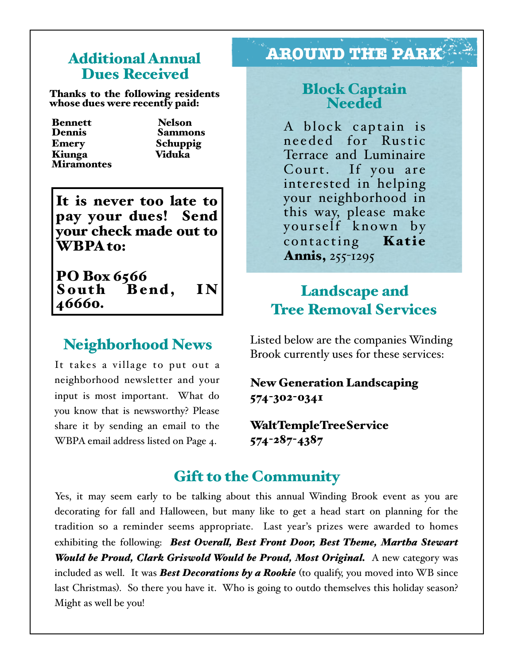# Dues Received

Thanks to the following residents whose dues were recently paid:

**Bennett** Nelson<br>Dennis Sammo Emery Schuppig Kiunga Viduka **Miramontes** 

Sammons

It is never too late to pay your dues! Send your check made out to WBPA to:

PO Box 6566<br>South Be South Bend, IN<br>46660.

### Neighborhood News

It takes a village to put out a neighborhood newsletter and your input is most important. What do you know that is newsworthy? Please share it by sending an email to the WBPA email address listed on Page 4.

## Additional Annual **AROUND THE PARK**

# Block Captain Needed

A block captain is needed for Rustic Terrace and Luminaire Court. If you are interested in helping your neighborhood in this way, please make yourself known by contacting **Katie** Annis, 255-1295

### **Landscape and** Tree Removal Services

Listed below are the companies Winding Brook currently uses for these services:

### New Generation Landscaping 574-302-0341

WaltTempleTreeService 574-287-4387

### Gift to the Community

Yes, it may seem early to be talking about this annual Winding Brook event as you are decorating for fall and Halloween, but many like to get a head start on planning for the tradition so a reminder seems appropriate. Last year's prizes were awarded to homes exhibiting the following: *Best Overal, Best Front Door, Best Theme, Martha Stewart Would be Proud, Clark Griswold Would be Proud, Most Original.* A new category was included as well. It was *Best Decorations by a Rookie* (to qualify, you moved into WB since last Christmas). So there you have it. Who is going to outdo themselves this holiday season? Might as well be you!